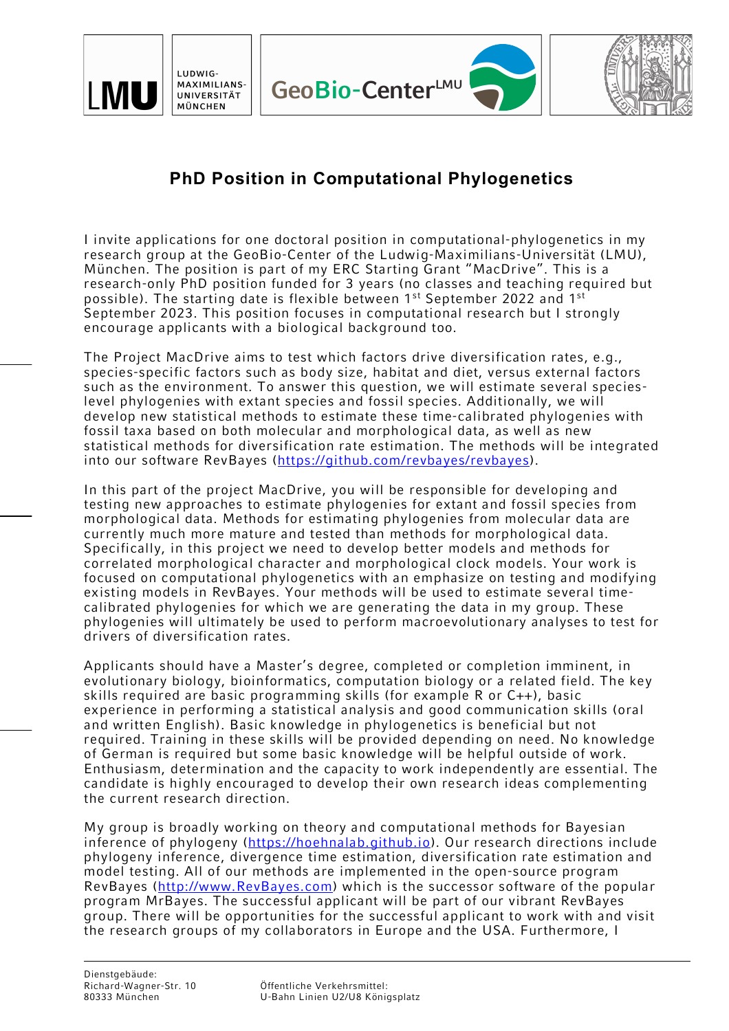





## **PhD Position in Computational Phylogenetics**

I invite applications for one doctoral position in computational-phylogenetics in my research group at the GeoBio-Center of the Ludwig-Maximilians-Universität (LMU), München. The position is part of my ERC Starting Grant "MacDrive". This is a research-only PhD position funded for 3 years (no classes and teaching required but possible). The starting date is flexible between 1<sup>st</sup> September 2022 and 1<sup>st</sup> September 2023. This position focuses in computational research but I strongly encourage applicants with a biological background too.

The Project MacDrive aims to test which factors drive diversification rates, e.g., species-specific factors such as body size, habitat and diet, versus external factors such as the environment. To answer this question, we will estimate several specieslevel phylogenies with extant species and fossil species. Additionally, we will develop new statistical methods to estimate these time-calibrated phylogenies with fossil taxa based on both molecular and morphological data, as well as new statistical methods for diversification rate estimation. The methods will be integrated into our software RevBayes (https://github.com/revbayes/revbayes).

In this part of the project MacDrive, you will be responsible for developing and testing new approaches to estimate phylogenies for extant and fossil species from morphological data. Methods for estimating phylogenies from molecular data are currently much more mature and tested than methods for morphological data. Specifically, in this project we need to develop better models and methods for correlated morphological character and morphological clock models. Your work is focused on computational phylogenetics with an emphasize on testing and modifying existing models in RevBayes. Your methods will be used to estimate several timecalibrated phylogenies for which we are generating the data in my group. These phylogenies will ultimately be used to perform macroevolutionary analyses to test for drivers of diversification rates.

Applicants should have a Master's degree, completed or completion imminent, in evolutionary biology, bioinformatics, computation biology or a related field. The key skills required are basic programming skills (for example R or C++), basic experience in performing a statistical analysis and good communication skills (oral and written English). Basic knowledge in phylogenetics is beneficial but not required. Training in these skills will be provided depending on need. No knowledge of German is required but some basic knowledge will be helpful outside of work. Enthusiasm, determination and the capacity to work independently are essential. The candidate is highly encouraged to develop their own research ideas complementing the current research direction.

My group is broadly working on theory and computational methods for Bayesian inference of phylogeny (https://hoehnalab.github.io). Our research directions include phylogeny inference, divergence time estimation, diversification rate estimation and model testing. All of our methods are implemented in the open-source program RevBayes (http://www.RevBayes.com) which is the successor software of the popular program MrBayes. The successful applicant will be part of our vibrant RevBayes group. There will be opportunities for the successful applicant to work with and visit the research groups of my collaborators in Europe and the USA. Furthermore, I